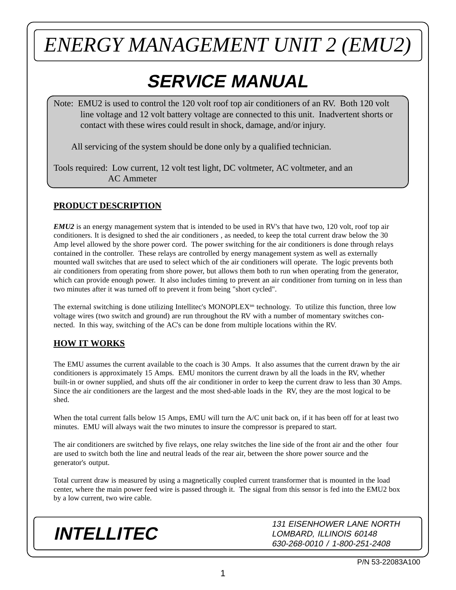### **SERVICE MANUAL**

Note: EMU2 is used to control the 120 volt roof top air conditioners of an RV. Both 120 volt line voltage and 12 volt battery voltage are connected to this unit. Inadvertent shorts or contact with these wires could result in shock, damage, and/or injury.

All servicing of the system should be done only by a qualified technician.

Tools required: Low current, 12 volt test light, DC voltmeter, AC voltmeter, and an AC Ammeter

#### **PRODUCT DESCRIPTION**

*EMU2* is an energy management system that is intended to be used in RV's that have two, 120 volt, roof top air conditioners. It is designed to shed the air conditioners , as needed, to keep the total current draw below the 30 Amp level allowed by the shore power cord. The power switching for the air conditioners is done through relays contained in the controller. These relays are controlled by energy management system as well as externally mounted wall switches that are used to select which of the air conditioners will operate. The logic prevents both air conditioners from operating from shore power, but allows them both to run when operating from the generator, which can provide enough power. It also includes timing to prevent an air conditioner from turning on in less than two minutes after it was turned off to prevent it from being "short cycled".

The external switching is done utilizing Intellitec's MONOPLEX<sup>tm</sup> technology. To utilize this function, three low voltage wires (two switch and ground) are run throughout the RV with a number of momentary switches connected. In this way, switching of the AC's can be done from multiple locations within the RV.

#### **HOW IT WORKS**

The EMU assumes the current available to the coach is 30 Amps. It also assumes that the current drawn by the air conditioners is approximately 15 Amps. EMU monitors the current drawn by all the loads in the RV, whether built-in or owner supplied, and shuts off the air conditioner in order to keep the current draw to less than 30 Amps. Since the air conditioners are the largest and the most shed-able loads in the RV, they are the most logical to be shed.

When the total current falls below 15 Amps, EMU will turn the A/C unit back on, if it has been off for at least two minutes. EMU will always wait the two minutes to insure the compressor is prepared to start.

The air conditioners are switched by five relays, one relay switches the line side of the front air and the other four are used to switch both the line and neutral leads of the rear air, between the shore power source and the generator's output.

Total current draw is measured by using a magnetically coupled current transformer that is mounted in the load center, where the main power feed wire is passed through it. The signal from this sensor is fed into the EMU2 box by a low current, two wire cable.

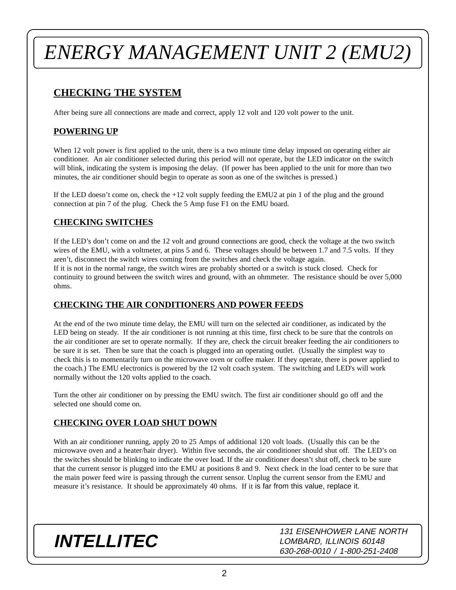### **CHECKING THE SYSTEM**

After being sure all connections are made and correct, apply 12 volt and 120 volt power to the unit.

#### **POWERING UP**

When 12 volt power is first applied to the unit, there is a two minute time delay imposed on operating either air conditioner. An air conditioner selected during this period will not operate, but the LED indicator on the switch will blink, indicating the system is imposing the delay. (If power has been applied to the unit for more than two minutes, the air conditioner should begin to operate as soon as one of the switches is pressed.)

If the LED doesn't come on, check the +12 volt supply feeding the EMU2 at pin 1 of the plug and the ground connection at pin 7 of the plug. Check the 5 Amp fuse F1 on the EMU board.

#### **CHECKING SWITCHES**

If the LED's don't come on and the 12 volt and ground connections are good, check the voltage at the two switch wires of the EMU, with a voltmeter, at pins 5 and 6. These voltages should be between 1.7 and 7.5 volts. If they aren't, disconnect the switch wires coming from the switches and check the voltage again. If it is not in the normal range, the switch wires are probably shorted or a switch is stuck closed. Check for continuity to ground between the switch wires and ground, with an ohmmeter. The resistance should be over 5,000 ohms.

#### **CHECKING THE AIR CONDITIONERS AND POWER FEEDS**

At the end of the two minute time delay, the EMU will turn on the selected air conditioner, as indicated by the LED being on steady. If the air conditioner is not running at this time, first check to be sure that the controls on the air conditioner are set to operate normally. If they are, check the circuit breaker feeding the air conditioners to be sure it is set. Then be sure that the coach is plugged into an operating outlet. (Usually the simplest way to check this is to momentarily turn on the microwave oven or coffee maker. If they operate, there is power applied to the coach.) The EMU electronics is powered by the 12 volt coach system. The switching and LED's will work normally without the 120 volts applied to the coach.

Turn the other air conditioner on by pressing the EMU switch. The first air conditioner should go off and the selected one should come on.

#### **CHECKING OVER LOAD SHUT DOWN**

With an air conditioner running, apply 20 to 25 Amps of additional 120 volt loads. (Usually this can be the microwave oven and a heater/hair dryer). Within five seconds, the air conditioner should shut off. The LED's on the switches should be blinking to indicate the over load. If the air conditioner doesn't shut off, check to be sure that the current sensor is plugged into the EMU at positions 8 and 9. Next check in the load center to be sure that the main power feed wire is passing through the current sensor. Unplug the current sensor from the EMU and measure it's resistance. It should be approximately 40 ohms. If it is far from this value, replace it.

### **INTELLITEC**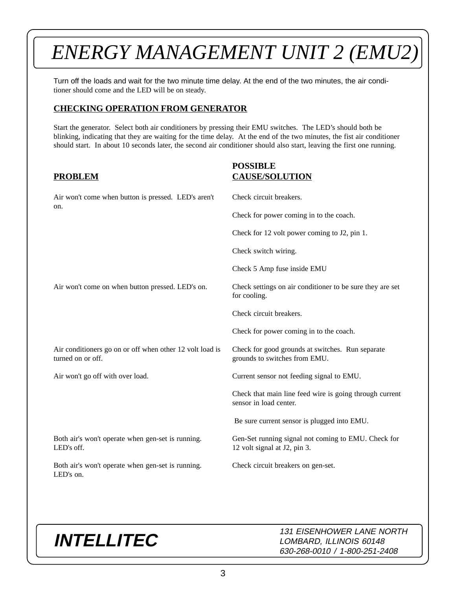Turn off the loads and wait for the two minute time delay. At the end of the two minutes, the air conditioner should come and the LED will be on steady.

#### **CHECKING OPERATION FROM GENERATOR**

Start the generator. Select both air conditioners by pressing their EMU switches. The LED's should both be blinking, indicating that they are waiting for the time delay. At the end of the two minutes, the fist air conditioner should start. In about 10 seconds later, the second air conditioner should also start, leaving the first one running.

#### **PROBLEM**

#### **POSSIBLE CAUSE/SOLUTION**

| Air won't come when button is pressed. LED's aren't<br>on.                    | Check circuit breakers.                                                             |
|-------------------------------------------------------------------------------|-------------------------------------------------------------------------------------|
|                                                                               | Check for power coming in to the coach.                                             |
|                                                                               | Check for 12 volt power coming to J2, pin 1.                                        |
|                                                                               | Check switch wiring.                                                                |
|                                                                               | Check 5 Amp fuse inside EMU                                                         |
| Air won't come on when button pressed. LED's on.                              | Check settings on air conditioner to be sure they are set<br>for cooling.           |
|                                                                               | Check circuit breakers.                                                             |
|                                                                               | Check for power coming in to the coach.                                             |
| Air conditioners go on or off when other 12 volt load is<br>turned on or off. | Check for good grounds at switches. Run separate<br>grounds to switches from EMU.   |
| Air won't go off with over load.                                              | Current sensor not feeding signal to EMU.                                           |
|                                                                               | Check that main line feed wire is going through current<br>sensor in load center.   |
|                                                                               | Be sure current sensor is plugged into EMU.                                         |
| Both air's won't operate when gen-set is running.<br>LED's off.               | Gen-Set running signal not coming to EMU. Check for<br>12 volt signal at J2, pin 3. |
| Both air's won't operate when gen-set is running.<br>LED's on.                | Check circuit breakers on gen-set.                                                  |

### **INTELLITEC**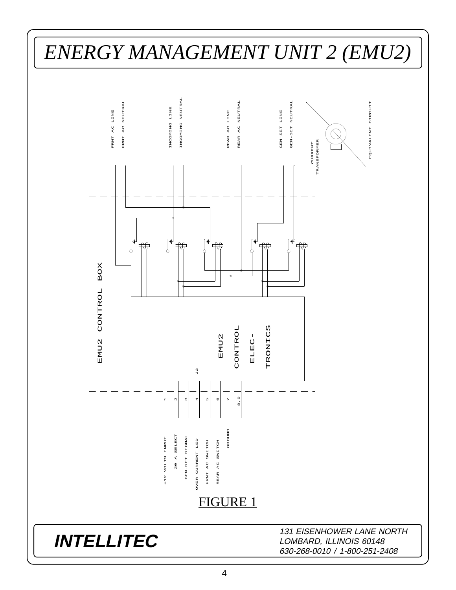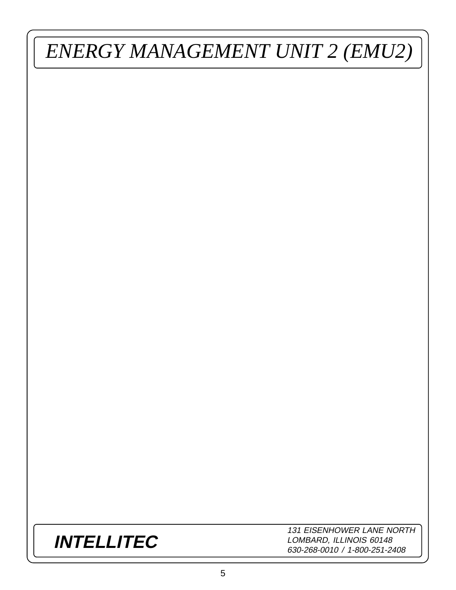### **INTELLITEC**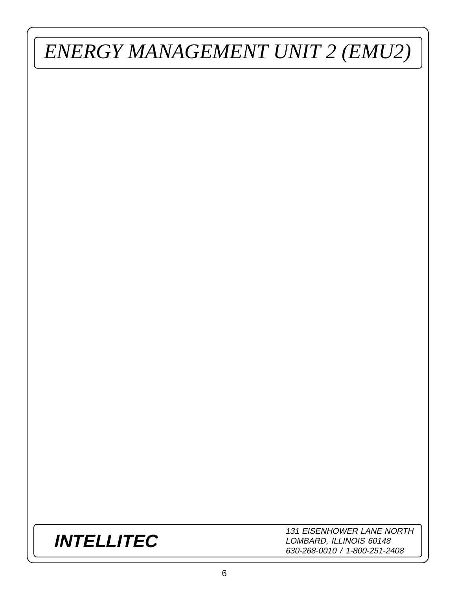### **INTELLITEC**